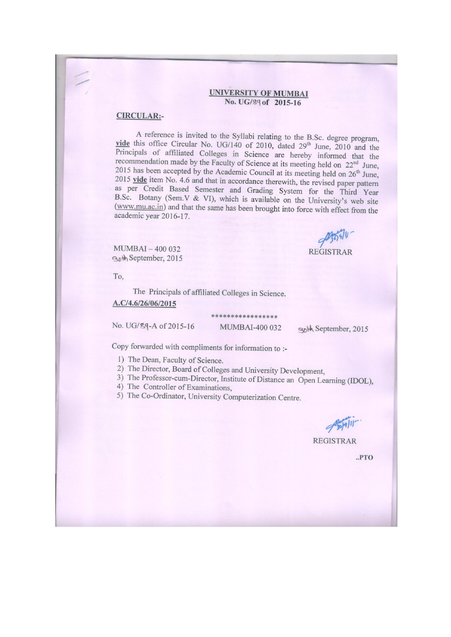#### **UNIVERSITY OF MUMBAI** No. UG/89 of 2015-16

#### **CIRCULAR:-**

A reference is invited to the Syllabi relating to the B.Sc. degree program, vide this office Circular No. UG/140 of 2010, dated 29<sup>th</sup> June, 2010 and the Principals of affiliated Colleges in Science are hereby informed that the recommendation made by the Faculty of Science at its meeting held on 22<sup>nd</sup> June, 2015 has been accepted by the Academic Council at its meeting held on 26<sup>th</sup> June, 2015 vide item No. 4.6 and that in accordance therewith, the revised paper pattern as per Credit Based Semester and Grading System for the Third Year B.Sc. Botany (Sem.V & VI), which is available on the University's web site (www.mu.ac.in) and that the same has been brought into force with effect from the academic year 2016-17.

MUMBAI-400 032 Both September, 2015

**REGISTRAR** 

To.

The Principals of affiliated Colleges in Science.

A.C/4.6/26/06/2015

No. UG/89-A of 2015-16

MUMBAI-400 032

solh September, 2015

Copy forwarded with compliments for information to :-

- 1) The Dean, Faculty of Science.
- 2) The Director, Board of Colleges and University Development,
- 3) The Professor-cum-Director, Institute of Distance an Open Learning (IDOL),
- 4) The Controller of Examinations,
- 5) The Co-Ordinator, University Computerization Centre.

**REGISTRAR** 

 $.PTO$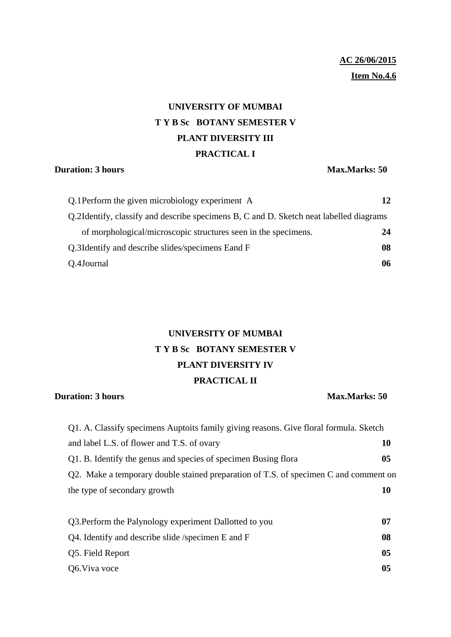## **AC 26/06/2015 Item No.4.6**

# **UNIVERSITY OF MUMBAI T Y B Sc BOTANY SEMESTER V PLANT DIVERSITY III PRACTICAL I**

### **Duration: 3 hours Max.Marks: 50**

| Q.1 Perform the given microbiology experiment A                                        | 12 |
|----------------------------------------------------------------------------------------|----|
| Q.2Identify, classify and describe specimens B, C and D. Sketch neat labelled diagrams |    |
| of morphological/microscopic structures seen in the specimens.                         | 24 |
| Q.3Identify and describe slides/specimens Eand F                                       | 08 |
| Q.4Journal                                                                             | 06 |

# **UNIVERSITY OF MUMBAI T Y B Sc BOTANY SEMESTER V PLANT DIVERSITY IV PRACTICAL II**

### **Duration: 3 hours Max.Marks: 50**

| Q1. A. Classify specimens Auptoits family giving reasons. Give floral formula. Sketch |                |
|---------------------------------------------------------------------------------------|----------------|
| and label L.S. of flower and T.S. of ovary                                            | 10             |
| Q1. B. Identify the genus and species of specimen Busing flora                        | 0 <sub>5</sub> |
| Q2. Make a temporary double stained preparation of T.S. of specimen C and comment on  |                |
| the type of secondary growth                                                          | 10             |
|                                                                                       |                |
| Q3. Perform the Palynology experiment Dallotted to you                                | 07             |
| Q4. Identify and describe slide /specimen E and F                                     | 08             |
| Q5. Field Report                                                                      | 05             |

Q6.Viva voce **05**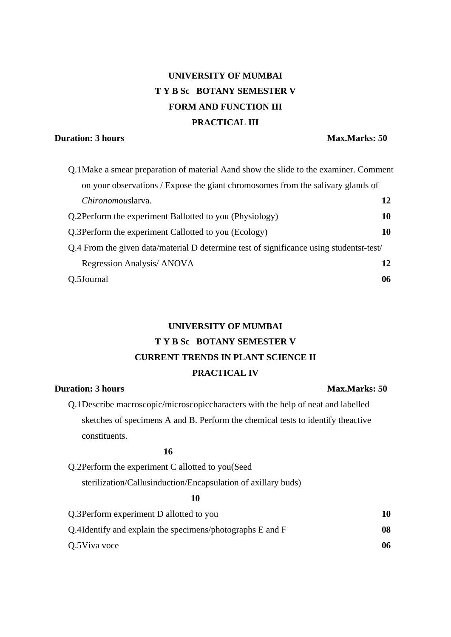# **UNIVERSITY OF MUMBAI T Y B Sc BOTANY SEMESTER V FORM AND FUNCTION III PRACTICAL III**

### **Duration: 3 hours Max.Marks: 50**

| Q.1 Make a smear preparation of material Aand show the slide to the examiner. Comment   |    |
|-----------------------------------------------------------------------------------------|----|
| on your observations / Expose the giant chromosomes from the salivary glands of         |    |
| Chironomouslarva.                                                                       | 12 |
| Q.2Perform the experiment Ballotted to you (Physiology)                                 | 10 |
| Q.3 Perform the experiment Callotted to you (Ecology)                                   | 10 |
| Q.4 From the given data/material D determine test of significance using studentst-test/ |    |
| Regression Analysis/ ANOVA                                                              | 12 |
| O.5Journal                                                                              | 06 |

## **UNIVERSITY OF MUMBAI T Y B Sc BOTANY SEMESTER V CURRENT TRENDS IN PLANT SCIENCE II PRACTICAL IV**

### **Duration: 3 hours Max.Marks: 50**

Q.1Describe macroscopic/microscopiccharacters with the help of neat and labelled sketches of specimens A and B. Perform the chemical tests to identify theactive constituents.

## **16**

Q.2Perform the experiment C allotted to you(Seed sterilization/Callusinduction/Encapsulation of axillary buds)

#### **10**

| Q.3 Perform experiment D allotted to you                   | 10 |
|------------------------------------------------------------|----|
| Q.4I dentify and explain the specimens/photographs E and F | 08 |
| Q.5 Viva voce                                              | 06 |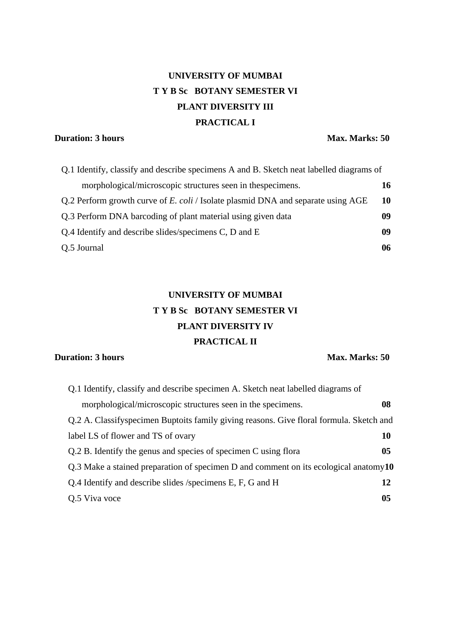# **UNIVERSITY OF MUMBAI T Y B Sc BOTANY SEMESTER VI PLANT DIVERSITY III PRACTICAL I**

## **Duration: 3 hours Max. Marks: 50**

| Q.1 Identify, classify and describe specimens A and B. Sketch neat labelled diagrams of |    |
|-----------------------------------------------------------------------------------------|----|
| morphological/microscopic structures seen in thespecimens.                              | 16 |
| Q.2 Perform growth curve of E. coli / Isolate plasmid DNA and separate using AGE        | 10 |
| Q.3 Perform DNA barcoding of plant material using given data                            | 09 |
| Q.4 Identify and describe slides/specimens C, D and E                                   | 09 |
| Q.5 Journal                                                                             | 06 |

# **UNIVERSITY OF MUMBAI T Y B Sc BOTANY SEMESTER VI PLANT DIVERSITY IV PRACTICAL II**

### **Duration: 3 hours Max. Marks: 50**

| Q.1 Identify, classify and describe specimen A. Sketch neat labelled diagrams of        |                |
|-----------------------------------------------------------------------------------------|----------------|
| morphological/microscopic structures seen in the specimens.                             | 08             |
| Q.2 A. Classifyspecimen Buptoits family giving reasons. Give floral formula. Sketch and |                |
| label LS of flower and TS of ovary                                                      | 10             |
| Q.2 B. Identify the genus and species of specimen C using flora                         | 0 <sub>5</sub> |
| Q.3 Make a stained preparation of specimen D and comment on its ecological anatomy $10$ |                |
| Q.4 Identify and describe slides /specimens E, F, G and H                               | 12             |
| Q.5 Viva voce                                                                           | 05             |